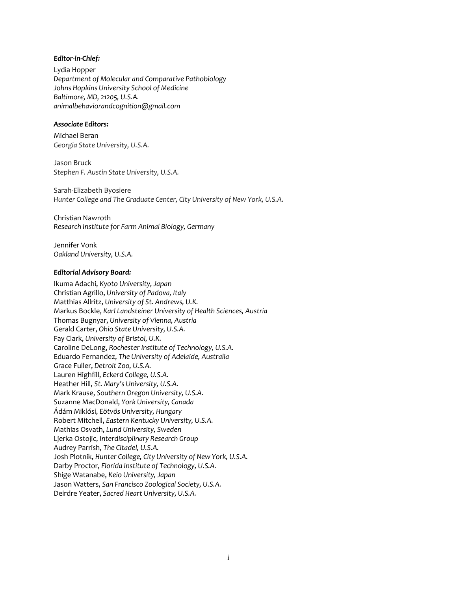#### *Editor-in-Chief:*

Lydia Hopper *Department of Molecular and Comparative Pathobiology Johns Hopkins University School of Medicine Baltimore, MD, 21205, U.S.A. animalbehaviorandcognition@gmail.com*

### *Associate Editors:*

Michael Beran *Georgia State University, U.S.A.*

Jason Bruck *Stephen F. Austin State University, U.S.A.*

Sarah-Elizabeth Byosiere *Hunter College and The Graduate Center, City University of New York, U.S.A.*

Christian Nawroth *Research Institute for Farm Animal Biology, Germany*

Jennifer Vonk *Oakland University, U.S.A.*

#### *Editorial Advisory Board:*

Ikuma Adachi, *Kyoto University, Japan* Christian Agrillo, *University of Padova, Italy* Matthias Allritz, *University of St. Andrews, U.K.* Markus Bockle, *Karl Landsteiner University of Health Sciences, Austria* Thomas Bugnyar, *University of Vienna, Austria*  Gerald Carter, *Ohio State University, U.S.A.* Fay Clark, *University of Bristol, U.K.* Caroline DeLong, *Rochester Institute of Technology, U.S.A.* Eduardo Fernandez, *The University of Adelaide, Australia* Grace Fuller, *Detroit Zoo, U.S.A.* Lauren Highfill, *Eckerd College, U.S.A.* Heather Hill, *St. Mary's University, U.S.A.* Mark Krause, *Southern Oregon University, U.S.A.* Suzanne MacDonald, *York University, Canada* Ádám Miklósi, *Eötvös University, Hungary* Robert Mitchell, *Eastern Kentucky University, U.S.A.* Mathias Osvath, *Lund University, Sweden* Ljerka Ostojic, *Interdisciplinary Research Group* Audrey Parrish, *The Citadel, U.S.A.* Josh Plotnik, *Hunter College, City University of New York, U.S.A.* Darby Proctor, *Florida Institute of Technology, U.S.A.* Shige Watanabe, *Keio University, Japan* Jason Watters, *San Francisco Zoological Society, U.S.A.* Deirdre Yeater, *Sacred Heart University, U.S.A.*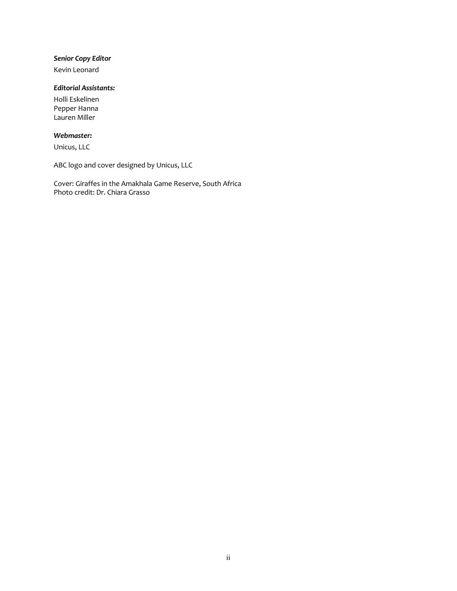## *Senior Copy Editor*

Kevin Leonard

# *Editorial Assistants:*

Holli Eskelinen Pepper Hanna Lauren Miller

## *Webmaster:*

Unicus, LLC

ABC logo and cover designed by Unicus, LLC

Cover: Giraffes in the Amakhala Game Reserve, South Africa Photo credit: Dr. Chiara Grasso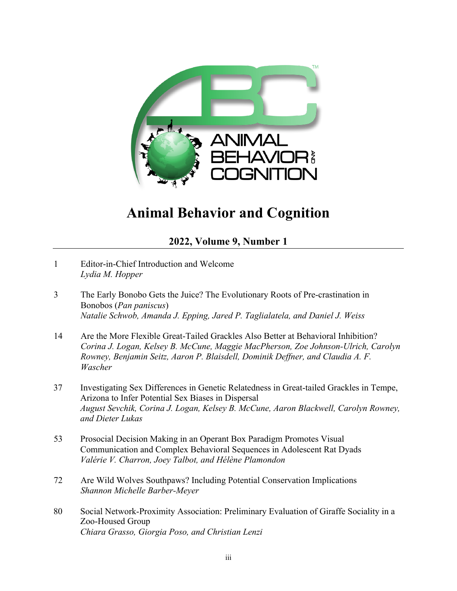

# **Animal Behavior and Cognition**

**2022, Volume 9, Number 1**

- 1 Editor-in-Chief Introduction and Welcome *Lydia M. Hopper*
- 3 The Early Bonobo Gets the Juice? The Evolutionary Roots of Pre-crastination in Bonobos (*Pan paniscus*) *Natalie Schwob, Amanda J. Epping, Jared P. Taglialatela, and Daniel J. Weiss*
- 14 Are the More Flexible Great-Tailed Grackles Also Better at Behavioral Inhibition? *Corina J. Logan, Kelsey B. McCune, Maggie MacPherson, Zoe Johnson-Ulrich, Carolyn Rowney, Benjamin Seitz, Aaron P. Blaisdell, Dominik Deffner, and Claudia A. F. Wascher*
- 37 Investigating Sex Differences in Genetic Relatedness in Great-tailed Grackles in Tempe, Arizona to Infer Potential Sex Biases in Dispersal *August Sevchik, Corina J. Logan, Kelsey B. McCune, Aaron Blackwell, Carolyn Rowney, and Dieter Lukas*
- 53 Prosocial Decision Making in an Operant Box Paradigm Promotes Visual Communication and Complex Behavioral Sequences in Adolescent Rat Dyads *Valérie V. Charron, Joey Talbot, and Hélène Plamondon*
- 72 Are Wild Wolves Southpaws? Including Potential Conservation Implications *Shannon Michelle Barber-Meyer*
- 80 Social Network-Proximity Association: Preliminary Evaluation of Giraffe Sociality in a Zoo-Housed Group *Chiara Grasso, Giorgia Poso, and Christian Lenzi*